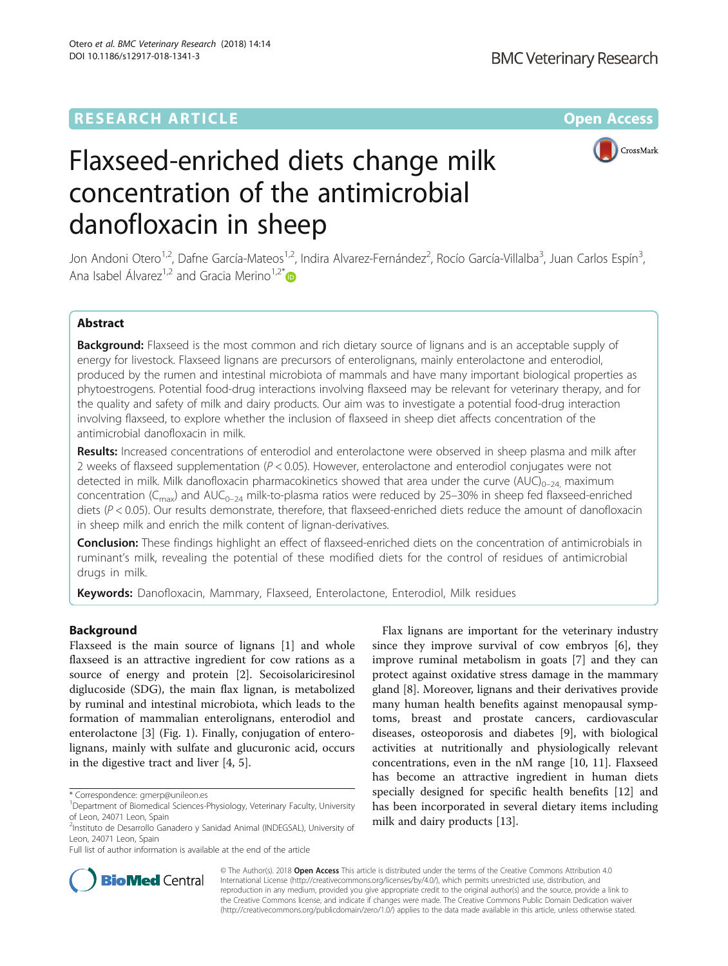# **RESEARCH ARTICLE External Structure Community Community Community Community Community Community Community Community**



# Flaxseed-enriched diets change milk concentration of the antimicrobial danofloxacin in sheep

Jon Andoni Otero<sup>1,2</sup>, Dafne García-Mateos<sup>1,2</sup>, Indira Alvarez-Fernández<sup>2</sup>, Rocío García-Villalba<sup>3</sup>, Juan Carlos Espín<sup>3</sup> , Ana Isabel Álvarez<sup>1,2</sup> and Gracia Merino<sup>1,2\*</sup>

# Abstract

Background: Flaxseed is the most common and rich dietary source of lignans and is an acceptable supply of energy for livestock. Flaxseed lignans are precursors of enterolignans, mainly enterolactone and enterodiol, produced by the rumen and intestinal microbiota of mammals and have many important biological properties as phytoestrogens. Potential food-drug interactions involving flaxseed may be relevant for veterinary therapy, and for the quality and safety of milk and dairy products. Our aim was to investigate a potential food-drug interaction involving flaxseed, to explore whether the inclusion of flaxseed in sheep diet affects concentration of the antimicrobial danofloxacin in milk.

Results: Increased concentrations of enterodiol and enterolactone were observed in sheep plasma and milk after 2 weeks of flaxseed supplementation ( $P < 0.05$ ). However, enterolactone and enterodiol conjugates were not detected in milk. Milk danofloxacin pharmacokinetics showed that area under the curve  $(AUC)_{0-24}$  maximum concentration ( $C_{\text{max}}$ ) and AUC<sub>0–24</sub> milk-to-plasma ratios were reduced by 25–30% in sheep fed flaxseed-enriched diets (P < 0.05). Our results demonstrate, therefore, that flaxseed-enriched diets reduce the amount of danofloxacin in sheep milk and enrich the milk content of lignan-derivatives.

**Conclusion:** These findings highlight an effect of flaxseed-enriched diets on the concentration of antimicrobials in ruminant's milk, revealing the potential of these modified diets for the control of residues of antimicrobial drugs in milk.

Keywords: Danofloxacin, Mammary, Flaxseed, Enterolactone, Enterodiol, Milk residues

# Background

Flaxseed is the main source of lignans [\[1](#page-6-0)] and whole flaxseed is an attractive ingredient for cow rations as a source of energy and protein [\[2](#page-6-0)]. Secoisolariciresinol diglucoside (SDG), the main flax lignan, is metabolized by ruminal and intestinal microbiota, which leads to the formation of mammalian enterolignans, enterodiol and enterolactone [[3\]](#page-6-0) (Fig. [1\)](#page-1-0). Finally, conjugation of enterolignans, mainly with sulfate and glucuronic acid, occurs in the digestive tract and liver [\[4](#page-6-0), [5](#page-7-0)].

Full list of author information is available at the end of the article

Flax lignans are important for the veterinary industry since they improve survival of cow embryos [[6\]](#page-7-0), they improve ruminal metabolism in goats [\[7](#page-7-0)] and they can protect against oxidative stress damage in the mammary gland [[8\]](#page-7-0). Moreover, lignans and their derivatives provide many human health benefits against menopausal symptoms, breast and prostate cancers, cardiovascular diseases, osteoporosis and diabetes [\[9](#page-7-0)], with biological activities at nutritionally and physiologically relevant concentrations, even in the nM range [\[10](#page-7-0), [11\]](#page-7-0). Flaxseed has become an attractive ingredient in human diets specially designed for specific health benefits [[12\]](#page-7-0) and has been incorporated in several dietary items including milk and dairy products [\[13\]](#page-7-0).



© The Author(s). 2018 Open Access This article is distributed under the terms of the Creative Commons Attribution 4.0 International License [\(http://creativecommons.org/licenses/by/4.0/](http://creativecommons.org/licenses/by/4.0/)), which permits unrestricted use, distribution, and reproduction in any medium, provided you give appropriate credit to the original author(s) and the source, provide a link to the Creative Commons license, and indicate if changes were made. The Creative Commons Public Domain Dedication waiver [\(http://creativecommons.org/publicdomain/zero/1.0/](http://creativecommons.org/publicdomain/zero/1.0/)) applies to the data made available in this article, unless otherwise stated.

<sup>\*</sup> Correspondence: [gmerp@unileon.es](mailto:gmerp@unileon.es) <sup>1</sup>

<sup>&</sup>lt;sup>1</sup>Department of Biomedical Sciences-Physiology, Veterinary Faculty, University of Leon, 24071 Leon, Spain

<sup>&</sup>lt;sup>2</sup>Instituto de Desarrollo Ganadero y Sanidad Animal (INDEGSAL), University of Leon, 24071 Leon, Spain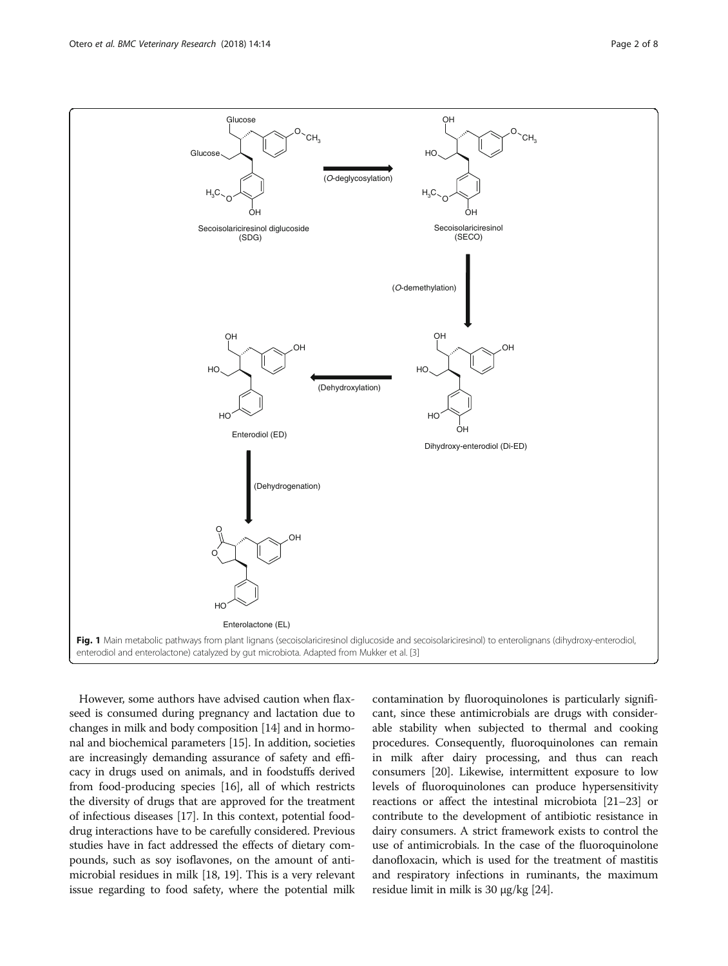<span id="page-1-0"></span>

However, some authors have advised caution when flaxseed is consumed during pregnancy and lactation due to changes in milk and body composition [[14](#page-7-0)] and in hormonal and biochemical parameters [\[15](#page-7-0)]. In addition, societies are increasingly demanding assurance of safety and efficacy in drugs used on animals, and in foodstuffs derived from food-producing species [[16](#page-7-0)], all of which restricts the diversity of drugs that are approved for the treatment of infectious diseases [[17](#page-7-0)]. In this context, potential fooddrug interactions have to be carefully considered. Previous studies have in fact addressed the effects of dietary compounds, such as soy isoflavones, on the amount of antimicrobial residues in milk [\[18, 19\]](#page-7-0). This is a very relevant issue regarding to food safety, where the potential milk contamination by fluoroquinolones is particularly significant, since these antimicrobials are drugs with considerable stability when subjected to thermal and cooking procedures. Consequently, fluoroquinolones can remain in milk after dairy processing, and thus can reach consumers [\[20\]](#page-7-0). Likewise, intermittent exposure to low levels of fluoroquinolones can produce hypersensitivity reactions or affect the intestinal microbiota [[21](#page-7-0)–[23\]](#page-7-0) or contribute to the development of antibiotic resistance in dairy consumers. A strict framework exists to control the use of antimicrobials. In the case of the fluoroquinolone danofloxacin, which is used for the treatment of mastitis and respiratory infections in ruminants, the maximum residue limit in milk is 30 μg/kg [[24](#page-7-0)].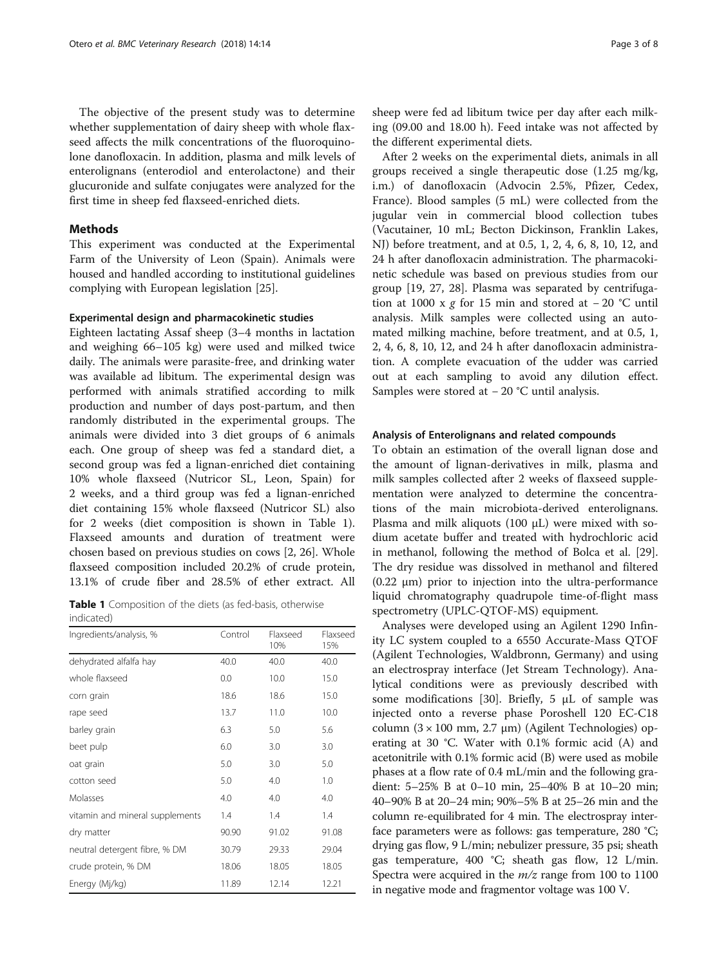<span id="page-2-0"></span>The objective of the present study was to determine whether supplementation of dairy sheep with whole flaxseed affects the milk concentrations of the fluoroquinolone danofloxacin. In addition, plasma and milk levels of enterolignans (enterodiol and enterolactone) and their glucuronide and sulfate conjugates were analyzed for the first time in sheep fed flaxseed-enriched diets.

# **Methods**

This experiment was conducted at the Experimental Farm of the University of Leon (Spain). Animals were housed and handled according to institutional guidelines complying with European legislation [\[25](#page-7-0)].

#### Experimental design and pharmacokinetic studies

Eighteen lactating Assaf sheep (3–4 months in lactation and weighing 66–105 kg) were used and milked twice daily. The animals were parasite-free, and drinking water was available ad libitum. The experimental design was performed with animals stratified according to milk production and number of days post-partum, and then randomly distributed in the experimental groups. The animals were divided into 3 diet groups of 6 animals each. One group of sheep was fed a standard diet, a second group was fed a lignan-enriched diet containing 10% whole flaxseed (Nutricor SL, Leon, Spain) for 2 weeks, and a third group was fed a lignan-enriched diet containing 15% whole flaxseed (Nutricor SL) also for 2 weeks (diet composition is shown in Table 1). Flaxseed amounts and duration of treatment were chosen based on previous studies on cows [\[2](#page-6-0), [26](#page-7-0)]. Whole flaxseed composition included 20.2% of crude protein, 13.1% of crude fiber and 28.5% of ether extract. All

Table 1 Composition of the diets (as fed-basis, otherwise indicated)

| Ingredients/analysis, %         | Control | Flaxseed<br>10% | Flaxseed<br>15% |
|---------------------------------|---------|-----------------|-----------------|
| dehydrated alfalfa hay          | 40.0    | 40.0            | 40.0            |
| whole flaxseed                  | 0.0     | 10.0            | 15.0            |
| corn grain                      | 18.6    | 18.6            | 15.0            |
| rape seed                       | 13.7    | 11.0            | 10.0            |
| barley grain                    | 6.3     | 5.0             | 5.6             |
| beet pulp                       | 6.0     | 3.0             | 3.0             |
| oat grain                       | 5.0     | 3.0             | 5.0             |
| cotton seed                     | 5.0     | 4.0             | 1.0             |
| Molasses                        | 4.0     | 4.0             | 4.0             |
| vitamin and mineral supplements | 1.4     | 1.4             | 1.4             |
| dry matter                      | 90.90   | 91.02           | 91.08           |
| neutral detergent fibre, % DM   | 30.79   | 29.33           | 29.04           |
| crude protein, % DM             | 18.06   | 18.05           | 18.05           |
| Energy (Mj/kg)                  | 11.89   | 12.14           | 12.21           |

sheep were fed ad libitum twice per day after each milking (09.00 and 18.00 h). Feed intake was not affected by the different experimental diets.

After 2 weeks on the experimental diets, animals in all groups received a single therapeutic dose (1.25 mg/kg, i.m.) of danofloxacin (Advocin 2.5%, Pfizer, Cedex, France). Blood samples (5 mL) were collected from the jugular vein in commercial blood collection tubes (Vacutainer, 10 mL; Becton Dickinson, Franklin Lakes, NJ) before treatment, and at 0.5, 1, 2, 4, 6, 8, 10, 12, and 24 h after danofloxacin administration. The pharmacokinetic schedule was based on previous studies from our group [[19, 27](#page-7-0), [28](#page-7-0)]. Plasma was separated by centrifugation at 1000 x g for 15 min and stored at  $-20$  °C until analysis. Milk samples were collected using an automated milking machine, before treatment, and at 0.5, 1, 2, 4, 6, 8, 10, 12, and 24 h after danofloxacin administration. A complete evacuation of the udder was carried out at each sampling to avoid any dilution effect. Samples were stored at − 20 °C until analysis.

#### Analysis of Enterolignans and related compounds

To obtain an estimation of the overall lignan dose and the amount of lignan-derivatives in milk, plasma and milk samples collected after 2 weeks of flaxseed supplementation were analyzed to determine the concentrations of the main microbiota-derived enterolignans. Plasma and milk aliquots (100 μL) were mixed with sodium acetate buffer and treated with hydrochloric acid in methanol, following the method of Bolca et al. [\[29](#page-7-0)]. The dry residue was dissolved in methanol and filtered (0.22 μm) prior to injection into the ultra-performance liquid chromatography quadrupole time-of-flight mass spectrometry (UPLC-QTOF-MS) equipment.

Analyses were developed using an Agilent 1290 Infinity LC system coupled to a 6550 Accurate-Mass QTOF (Agilent Technologies, Waldbronn, Germany) and using an electrospray interface (Jet Stream Technology). Analytical conditions were as previously described with some modifications [\[30](#page-7-0)]. Briefly, 5 μL of sample was injected onto a reverse phase Poroshell 120 EC-C18 column (3 × 100 mm, 2.7 μm) (Agilent Technologies) operating at 30 °C. Water with 0.1% formic acid (A) and acetonitrile with 0.1% formic acid (B) were used as mobile phases at a flow rate of 0.4 mL/min and the following gradient: 5–25% B at 0–10 min, 25–40% B at 10–20 min; 40–90% B at 20–24 min; 90%–5% B at 25–26 min and the column re-equilibrated for 4 min. The electrospray interface parameters were as follows: gas temperature, 280 °C; drying gas flow, 9 L/min; nebulizer pressure, 35 psi; sheath gas temperature, 400 °C; sheath gas flow, 12 L/min. Spectra were acquired in the  $m/z$  range from 100 to 1100 in negative mode and fragmentor voltage was 100 V.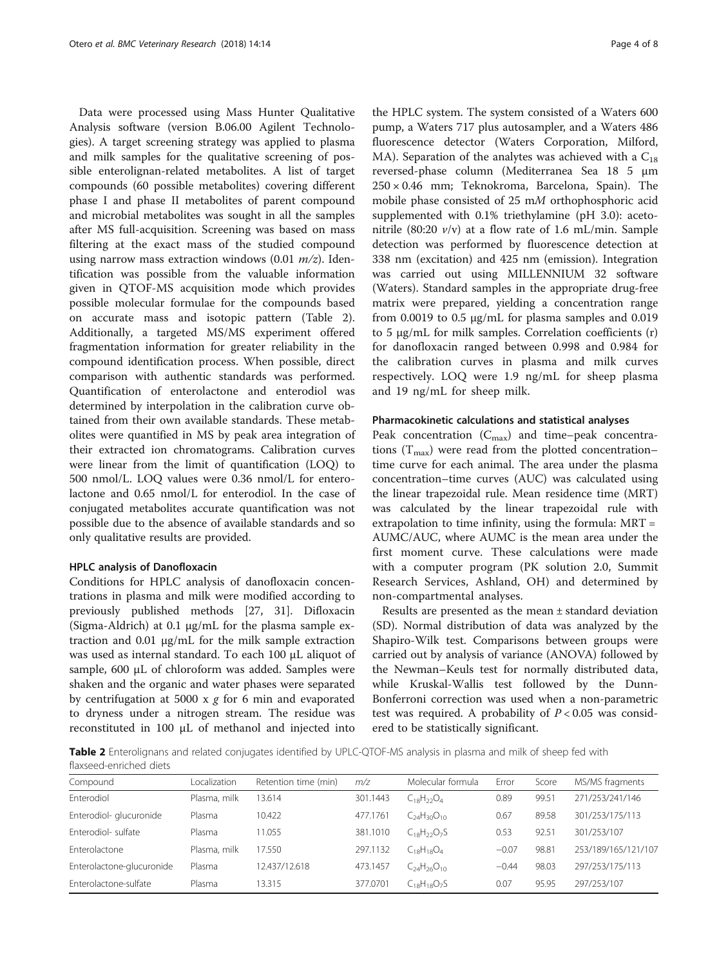<span id="page-3-0"></span>Data were processed using Mass Hunter Qualitative Analysis software (version B.06.00 Agilent Technologies). A target screening strategy was applied to plasma and milk samples for the qualitative screening of possible enterolignan-related metabolites. A list of target compounds (60 possible metabolites) covering different phase I and phase II metabolites of parent compound and microbial metabolites was sought in all the samples after MS full-acquisition. Screening was based on mass filtering at the exact mass of the studied compound using narrow mass extraction windows  $(0.01 \, m/z)$ . Identification was possible from the valuable information given in QTOF-MS acquisition mode which provides possible molecular formulae for the compounds based on accurate mass and isotopic pattern (Table 2). Additionally, a targeted MS/MS experiment offered fragmentation information for greater reliability in the compound identification process. When possible, direct comparison with authentic standards was performed. Quantification of enterolactone and enterodiol was determined by interpolation in the calibration curve obtained from their own available standards. These metabolites were quantified in MS by peak area integration of their extracted ion chromatograms. Calibration curves were linear from the limit of quantification (LOQ) to 500 nmol/L. LOQ values were 0.36 nmol/L for enterolactone and 0.65 nmol/L for enterodiol. In the case of conjugated metabolites accurate quantification was not possible due to the absence of available standards and so only qualitative results are provided.

# HPLC analysis of Danofloxacin

Conditions for HPLC analysis of danofloxacin concentrations in plasma and milk were modified according to previously published methods [\[27](#page-7-0), [31](#page-7-0)]. Difloxacin (Sigma-Aldrich) at 0.1 μg/mL for the plasma sample extraction and 0.01 μg/mL for the milk sample extraction was used as internal standard. To each 100 μL aliquot of sample, 600 μL of chloroform was added. Samples were shaken and the organic and water phases were separated by centrifugation at 5000  $x$  g for 6 min and evaporated to dryness under a nitrogen stream. The residue was reconstituted in 100 μL of methanol and injected into

the HPLC system. The system consisted of a Waters 600 pump, a Waters 717 plus autosampler, and a Waters 486 fluorescence detector (Waters Corporation, Milford, MA). Separation of the analytes was achieved with a  $C_{18}$ reversed-phase column (Mediterranea Sea 18 5 μm  $250 \times 0.46$  mm; Teknokroma, Barcelona, Spain). The mobile phase consisted of 25 mM orthophosphoric acid supplemented with 0.1% triethylamine (pH 3.0): acetonitrile (80:20  $v/v$ ) at a flow rate of 1.6 mL/min. Sample detection was performed by fluorescence detection at 338 nm (excitation) and 425 nm (emission). Integration was carried out using MILLENNIUM 32 software (Waters). Standard samples in the appropriate drug-free matrix were prepared, yielding a concentration range from 0.0019 to 0.5  $\mu$ g/mL for plasma samples and 0.019 to 5 μg/mL for milk samples. Correlation coefficients (r) for danofloxacin ranged between 0.998 and 0.984 for the calibration curves in plasma and milk curves respectively. LOQ were 1.9 ng/mL for sheep plasma and 19 ng/mL for sheep milk.

#### Pharmacokinetic calculations and statistical analyses

Peak concentration  $(C_{\text{max}})$  and time–peak concentrations  $(T_{\text{max}})$  were read from the plotted concentration– time curve for each animal. The area under the plasma concentration–time curves (AUC) was calculated using the linear trapezoidal rule. Mean residence time (MRT) was calculated by the linear trapezoidal rule with extrapolation to time infinity, using the formula: MRT = AUMC/AUC, where AUMC is the mean area under the first moment curve. These calculations were made with a computer program (PK solution 2.0, Summit Research Services, Ashland, OH) and determined by non-compartmental analyses.

Results are presented as the mean ± standard deviation (SD). Normal distribution of data was analyzed by the Shapiro-Wilk test. Comparisons between groups were carried out by analysis of variance (ANOVA) followed by the Newman–Keuls test for normally distributed data, while Kruskal-Wallis test followed by the Dunn-Bonferroni correction was used when a non-parametric test was required. A probability of  $P < 0.05$  was considered to be statistically significant.

Table 2 Enterolignans and related conjugates identified by UPLC-QTOF-MS analysis in plasma and milk of sheep fed with flaxseed-enriched diets

| Compound                  | Localization | Retention time (min) | m/z      | Molecular formula    | Error   | Score | MS/MS fragments     |
|---------------------------|--------------|----------------------|----------|----------------------|---------|-------|---------------------|
| Enterodiol                | Plasma, milk | 13.614               | 301.1443 | $C_{18}H_{22}O_4$    | 0.89    | 99.51 | 271/253/241/146     |
| Enterodiol- glucuronide   | Plasma       | 10.422               | 477.1761 | $C_{24}H_{30}O_{10}$ | 0.67    | 89.58 | 301/253/175/113     |
| Enterodiol-sulfate        | Plasma       | 11.055               | 381.1010 | $C_{18}H_{22}O_{7}S$ | 0.53    | 92.51 | 301/253/107         |
| Enterolactone             | Plasma, milk | 17.550               | 297.1132 | $C_{18}H_{18}O_4$    | $-0.07$ | 98.81 | 253/189/165/121/107 |
| Enterolactone-glucuronide | Plasma       | 12.437/12.618        | 473.1457 | $C_{24}H_{26}O_{10}$ | $-0.44$ | 98.03 | 297/253/175/113     |
| Enterolactone-sulfate     | Plasma       | 13.315               | 377.0701 | $C_{18}H_{18}O_7S$   | 0.07    | 95.95 | 297/253/107         |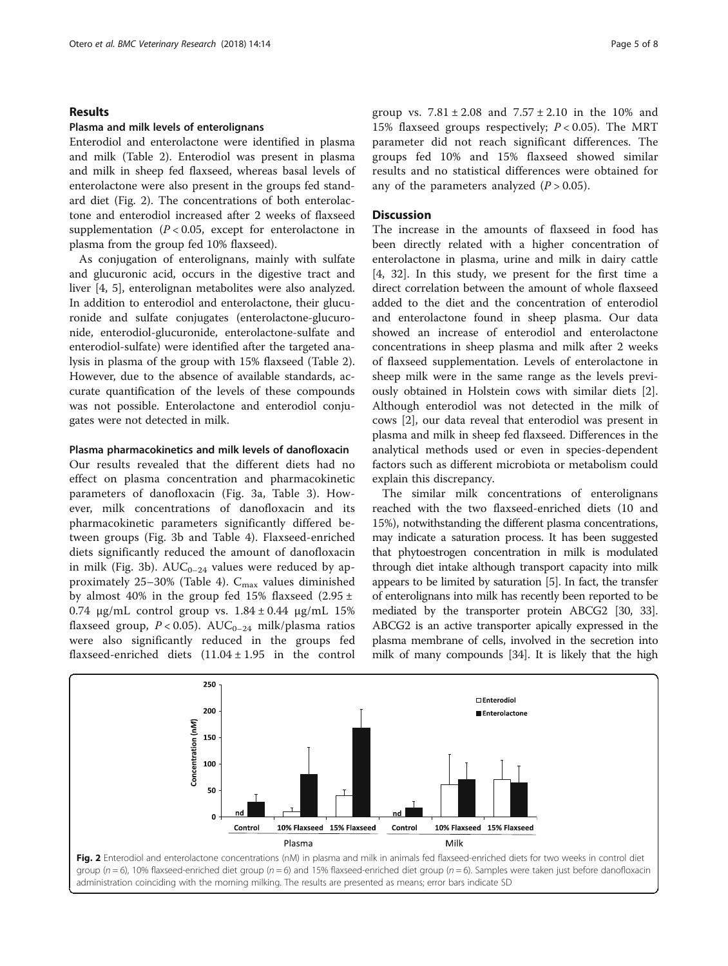# Results

#### Plasma and milk levels of enterolignans

Enterodiol and enterolactone were identified in plasma and milk (Table [2](#page-3-0)). Enterodiol was present in plasma and milk in sheep fed flaxseed, whereas basal levels of enterolactone were also present in the groups fed standard diet (Fig. 2). The concentrations of both enterolactone and enterodiol increased after 2 weeks of flaxseed supplementation ( $P < 0.05$ , except for enterolactone in plasma from the group fed 10% flaxseed).

As conjugation of enterolignans, mainly with sulfate and glucuronic acid, occurs in the digestive tract and liver [\[4](#page-6-0), [5\]](#page-7-0), enterolignan metabolites were also analyzed. In addition to enterodiol and enterolactone, their glucuronide and sulfate conjugates (enterolactone-glucuronide, enterodiol-glucuronide, enterolactone-sulfate and enterodiol-sulfate) were identified after the targeted analysis in plasma of the group with 15% flaxseed (Table [2](#page-3-0)). However, due to the absence of available standards, accurate quantification of the levels of these compounds was not possible. Enterolactone and enterodiol conjugates were not detected in milk.

# Plasma pharmacokinetics and milk levels of danofloxacin

Our results revealed that the different diets had no effect on plasma concentration and pharmacokinetic parameters of danofloxacin (Fig. [3a](#page-5-0), Table [3\)](#page-5-0). However, milk concentrations of danofloxacin and its pharmacokinetic parameters significantly differed between groups (Fig. [3b](#page-5-0) and Table [4\)](#page-5-0). Flaxseed-enriched diets significantly reduced the amount of danofloxacin in milk (Fig. [3b](#page-5-0)).  $AUC_{0-24}$  values were reduced by approximately  $25-30\%$  (Table [4\)](#page-5-0).  $C_{\text{max}}$  values diminished by almost 40% in the group fed 15% flaxseed (2.95  $\pm$ 0.74 μg/mL control group vs.  $1.84 \pm 0.44$  μg/mL 15% flaxseed group,  $P < 0.05$ ). AUC<sub>0-24</sub> milk/plasma ratios were also significantly reduced in the groups fed flaxseed-enriched diets  $(11.04 \pm 1.95)$  in the control group vs.  $7.81 \pm 2.08$  and  $7.57 \pm 2.10$  in the 10% and 15% flaxseed groups respectively;  $P < 0.05$ ). The MRT parameter did not reach significant differences. The groups fed 10% and 15% flaxseed showed similar results and no statistical differences were obtained for any of the parameters analyzed  $(P > 0.05)$ .

# **Discussion**

The increase in the amounts of flaxseed in food has been directly related with a higher concentration of enterolactone in plasma, urine and milk in dairy cattle [[4,](#page-6-0) [32\]](#page-7-0). In this study, we present for the first time a direct correlation between the amount of whole flaxseed added to the diet and the concentration of enterodiol and enterolactone found in sheep plasma. Our data showed an increase of enterodiol and enterolactone concentrations in sheep plasma and milk after 2 weeks of flaxseed supplementation. Levels of enterolactone in sheep milk were in the same range as the levels previously obtained in Holstein cows with similar diets [\[2](#page-6-0)]. Although enterodiol was not detected in the milk of cows [[2\]](#page-6-0), our data reveal that enterodiol was present in plasma and milk in sheep fed flaxseed. Differences in the analytical methods used or even in species-dependent factors such as different microbiota or metabolism could explain this discrepancy.

The similar milk concentrations of enterolignans reached with the two flaxseed-enriched diets (10 and 15%), notwithstanding the different plasma concentrations, may indicate a saturation process. It has been suggested that phytoestrogen concentration in milk is modulated through diet intake although transport capacity into milk appears to be limited by saturation [\[5](#page-7-0)]. In fact, the transfer of enterolignans into milk has recently been reported to be mediated by the transporter protein ABCG2 [\[30, 33](#page-7-0)]. ABCG2 is an active transporter apically expressed in the plasma membrane of cells, involved in the secretion into milk of many compounds [\[34\]](#page-7-0). It is likely that the high

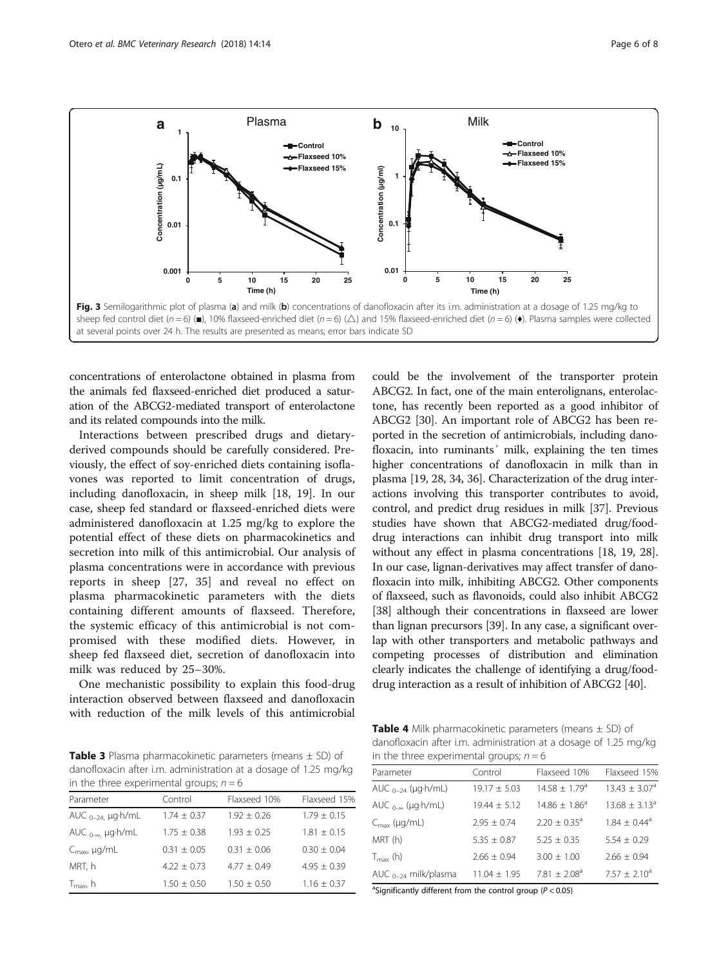<span id="page-5-0"></span>

concentrations of enterolactone obtained in plasma from the animals fed flaxseed-enriched diet produced a saturation of the ABCG2-mediated transport of enterolactone and its related compounds into the milk.

Interactions between prescribed drugs and dietaryderived compounds should be carefully considered. Previously, the effect of soy-enriched diets containing isoflavones was reported to limit concentration of drugs, including danofloxacin, in sheep milk [\[18, 19\]](#page-7-0). In our case, sheep fed standard or flaxseed-enriched diets were administered danofloxacin at 1.25 mg/kg to explore the potential effect of these diets on pharmacokinetics and secretion into milk of this antimicrobial. Our analysis of plasma concentrations were in accordance with previous reports in sheep [\[27](#page-7-0), [35](#page-7-0)] and reveal no effect on plasma pharmacokinetic parameters with the diets containing different amounts of flaxseed. Therefore, the systemic efficacy of this antimicrobial is not compromised with these modified diets. However, in sheep fed flaxseed diet, secretion of danofloxacin into milk was reduced by 25–30%.

One mechanistic possibility to explain this food-drug interaction observed between flaxseed and danofloxacin with reduction of the milk levels of this antimicrobial ABCG2. In fact, one of the main enterolignans, enterolactone, has recently been reported as a good inhibitor of ABCG2 [\[30\]](#page-7-0). An important role of ABCG2 has been reported in the secretion of antimicrobials, including danofloxacin, into ruminants' milk, explaining the ten times higher concentrations of danofloxacin in milk than in plasma [[19](#page-7-0), [28, 34](#page-7-0), [36\]](#page-7-0). Characterization of the drug interactions involving this transporter contributes to avoid, control, and predict drug residues in milk [[37](#page-7-0)]. Previous studies have shown that ABCG2-mediated drug/fooddrug interactions can inhibit drug transport into milk without any effect in plasma concentrations [[18](#page-7-0), [19, 28](#page-7-0)]. In our case, lignan-derivatives may affect transfer of danofloxacin into milk, inhibiting ABCG2. Other components of flaxseed, such as flavonoids, could also inhibit ABCG2 [[38](#page-7-0)] although their concentrations in flaxseed are lower than lignan precursors [[39](#page-7-0)]. In any case, a significant overlap with other transporters and metabolic pathways and competing processes of distribution and elimination clearly indicates the challenge of identifying a drug/fooddrug interaction as a result of inhibition of ABCG2 [\[40\]](#page-7-0).

could be the involvement of the transporter protein

**Table 3** Plasma pharmacokinetic parameters (means  $\pm$  SD) of danofloxacin after i.m. administration at a dosage of 1.25 mg/kg in the three experimental groups:  $n = 6$ 

| Parameter                         | Control         | Flaxseed 10%    | Flaxseed 15%    |
|-----------------------------------|-----------------|-----------------|-----------------|
| AUC $_{0-24}$ µg $\cdot$ h/mL     | $1.74 + 0.37$   | $1.92 + 0.26$   | $1.79 + 0.15$   |
| AUC $_{0-\infty}$ µg $\cdot$ h/mL | $1.75 + 0.38$   | $1.93 + 0.25$   | $1.81 \pm 0.15$ |
| $C_{\text{max}}$ , $\mu$ g/mL     | $0.31 + 0.05$   | $0.31 + 0.06$   | $0.30 \pm 0.04$ |
| MRT, h                            | $4.22 + 0.73$   | $4.77 + 0.49$   | $4.95 + 0.39$   |
| $T_{\rm max}$ , h                 | $1.50 \pm 0.50$ | $1.50 \pm 0.50$ | $1.16 \pm 0.37$ |

**Table 4** Milk pharmacokinetic parameters (means  $\pm$  SD) of danofloxacin after i.m. administration at a dosage of 1.25 mg/kg in the three experimental groups;  $n = 6$ 

| Parameter                           | Control         | Flaxseed 10%                 | Flaxseed 15%                  |
|-------------------------------------|-----------------|------------------------------|-------------------------------|
| AUC $_{0-24}$ (µg $\cdot$ h/mL)     | $19.17 + 5.03$  | $14.58 + 1.79a$              | $13.43 \pm 3.07$ <sup>a</sup> |
| AUC $_{0-\infty}$ (µg $\cdot$ h/mL) | $19.44 + 5.12$  | $14.86 + 1.86^a$             | $13.68 + 3.13a$               |
| $C_{\text{max}}$ (µg/mL)            | $2.95 + 0.74$   | $2.20 + 0.35$ <sup>a</sup>   | $1.84 + 0.44^{\circ}$         |
| MRT (h)                             | $5.35 + 0.87$   | $5.25 + 0.35$                | $5.54 + 0.29$                 |
| $T_{\text{max}}$ (h)                | $2.66 \pm 0.94$ | $3.00 + 1.00$                | $2.66 \pm 0.94$               |
| AUC $_{0-24}$ milk/plasma           | $11.04 + 1.95$  | 7.81 $\pm$ 2.08 <sup>a</sup> | $7.57 \pm 2.10^a$             |

<sup>a</sup>Significantly different from the control group ( $P < 0.05$ )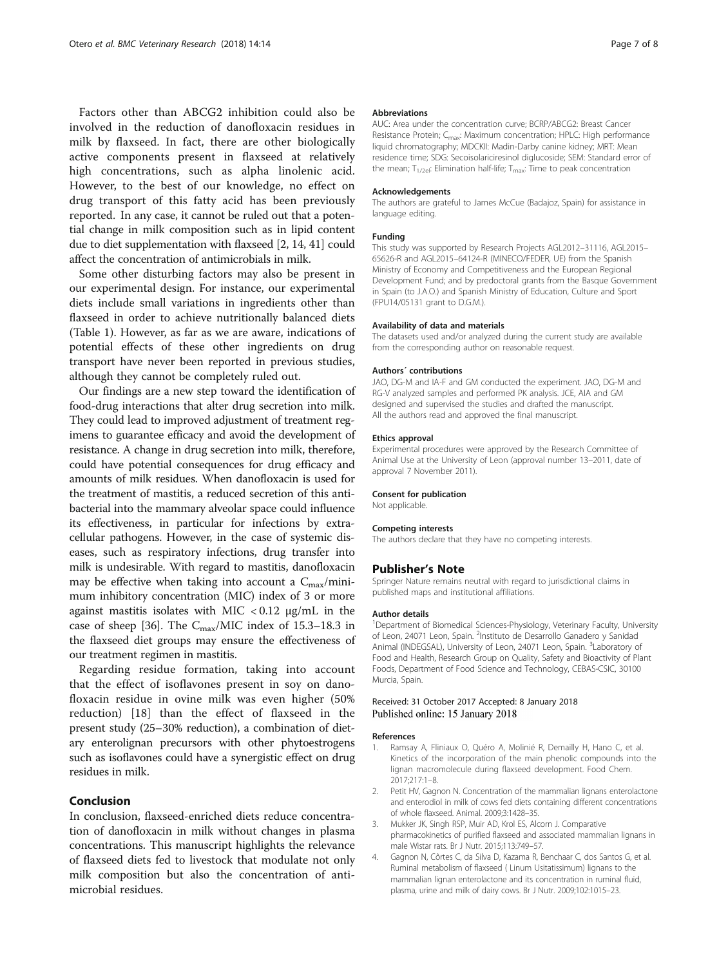<span id="page-6-0"></span>Factors other than ABCG2 inhibition could also be involved in the reduction of danofloxacin residues in milk by flaxseed. In fact, there are other biologically active components present in flaxseed at relatively high concentrations, such as alpha linolenic acid. However, to the best of our knowledge, no effect on drug transport of this fatty acid has been previously reported. In any case, it cannot be ruled out that a potential change in milk composition such as in lipid content due to diet supplementation with flaxseed [2, [14](#page-7-0), [41\]](#page-7-0) could affect the concentration of antimicrobials in milk.

Some other disturbing factors may also be present in our experimental design. For instance, our experimental diets include small variations in ingredients other than flaxseed in order to achieve nutritionally balanced diets (Table [1\)](#page-2-0). However, as far as we are aware, indications of potential effects of these other ingredients on drug transport have never been reported in previous studies, although they cannot be completely ruled out.

Our findings are a new step toward the identification of food-drug interactions that alter drug secretion into milk. They could lead to improved adjustment of treatment regimens to guarantee efficacy and avoid the development of resistance. A change in drug secretion into milk, therefore, could have potential consequences for drug efficacy and amounts of milk residues. When danofloxacin is used for the treatment of mastitis, a reduced secretion of this antibacterial into the mammary alveolar space could influence its effectiveness, in particular for infections by extracellular pathogens. However, in the case of systemic diseases, such as respiratory infections, drug transfer into milk is undesirable. With regard to mastitis, danofloxacin may be effective when taking into account a  $C_{\text{max}}/$ minimum inhibitory concentration (MIC) index of 3 or more against mastitis isolates with MIC  $\langle 0.12 \ \mu g/mL \rangle$  in the case of sheep [[36](#page-7-0)]. The  $C_{\text{max}}/MIC$  index of 15.3–18.3 in the flaxseed diet groups may ensure the effectiveness of our treatment regimen in mastitis.

Regarding residue formation, taking into account that the effect of isoflavones present in soy on danofloxacin residue in ovine milk was even higher (50% reduction) [\[18](#page-7-0)] than the effect of flaxseed in the present study (25–30% reduction), a combination of dietary enterolignan precursors with other phytoestrogens such as isoflavones could have a synergistic effect on drug residues in milk.

# Conclusion

In conclusion, flaxseed-enriched diets reduce concentration of danofloxacin in milk without changes in plasma concentrations. This manuscript highlights the relevance of flaxseed diets fed to livestock that modulate not only milk composition but also the concentration of antimicrobial residues.

#### Abbreviations

AUC: Area under the concentration curve; BCRP/ABCG2: Breast Cancer Resistance Protein; C<sub>max</sub>: Maximum concentration; HPLC: High performance liquid chromatography; MDCKII: Madin-Darby canine kidney; MRT: Mean residence time; SDG: Secoisolariciresinol diglucoside; SEM: Standard error of the mean;  $T_{1/2el}$ : Elimination half-life;  $T_{max}$ : Time to peak concentration

#### Acknowledgements

The authors are grateful to James McCue (Badajoz, Spain) for assistance in language editing.

#### Funding

This study was supported by Research Projects AGL2012–31116, AGL2015– 65626-R and AGL2015–64124-R (MINECO/FEDER, UE) from the Spanish Ministry of Economy and Competitiveness and the European Regional Development Fund; and by predoctoral grants from the Basque Government in Spain (to J.A.O.) and Spanish Ministry of Education, Culture and Sport (FPU14/05131 grant to D.G.M.).

#### Availability of data and materials

The datasets used and/or analyzed during the current study are available from the corresponding author on reasonable request.

#### Authors´ contributions

JAO, DG-M and IA-F and GM conducted the experiment. JAO, DG-M and RG-V analyzed samples and performed PK analysis. JCE, AIA and GM designed and supervised the studies and drafted the manuscript. All the authors read and approved the final manuscript.

#### Ethics approval

Experimental procedures were approved by the Research Committee of Animal Use at the University of Leon (approval number 13–2011, date of approval 7 November 2011).

# Consent for publication

Not applicable.

#### Competing interests

The authors declare that they have no competing interests.

#### Publisher's Note

Springer Nature remains neutral with regard to jurisdictional claims in published maps and institutional affiliations.

#### Author details

<sup>1</sup>Department of Biomedical Sciences-Physiology, Veterinary Faculty, University of Leon, 24071 Leon, Spain. <sup>2</sup>Instituto de Desarrollo Ganadero y Sanidad Animal (INDEGSAL), University of Leon, 24071 Leon, Spain. <sup>3</sup>Laboratory of Food and Health, Research Group on Quality, Safety and Bioactivity of Plant Foods, Department of Food Science and Technology, CEBAS-CSIC, 30100 Murcia, Spain.

#### Received: 31 October 2017 Accepted: 8 January 2018 Published online: 15 January 2018

#### References

- 1. Ramsay A, Fliniaux O, Quéro A, Molinié R, Demailly H, Hano C, et al. Kinetics of the incorporation of the main phenolic compounds into the lignan macromolecule during flaxseed development. Food Chem. 2017;217:1–8.
- Petit HV, Gagnon N. Concentration of the mammalian lignans enterolactone and enterodiol in milk of cows fed diets containing different concentrations of whole flaxseed. Animal. 2009;3:1428–35.
- 3. Mukker JK, Singh RSP, Muir AD, Krol ES, Alcorn J. Comparative pharmacokinetics of purified flaxseed and associated mammalian lignans in male Wistar rats. Br J Nutr. 2015;113:749–57.
- 4. Gagnon N, Côrtes C, da Silva D, Kazama R, Benchaar C, dos Santos G, et al. Ruminal metabolism of flaxseed ( Linum Usitatissimum) lignans to the mammalian lignan enterolactone and its concentration in ruminal fluid, plasma, urine and milk of dairy cows. Br J Nutr. 2009;102:1015–23.